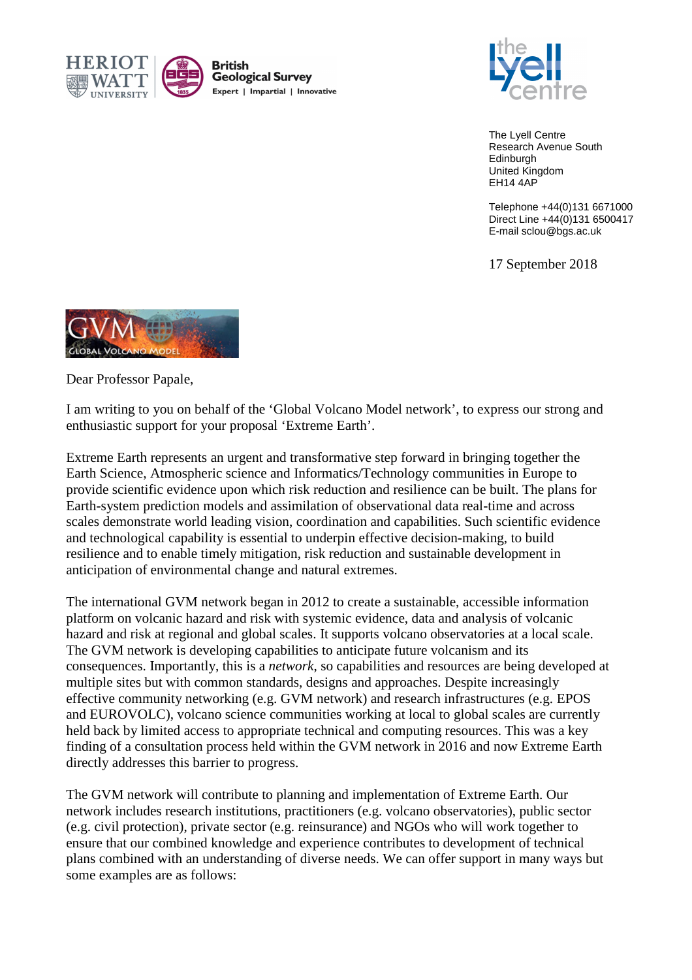



The Lyell Centre Research Avenue South Edinburgh United Kingdom EH14 4AP

Telephone +44(0)131 6671000 Direct Line +44(0)131 6500417 E-mail sclou@bgs.ac.uk

17 September 2018



Dear Professor Papale,

I am writing to you on behalf of the 'Global Volcano Model network', to express our strong and enthusiastic support for your proposal 'Extreme Earth'.

Extreme Earth represents an urgent and transformative step forward in bringing together the Earth Science, Atmospheric science and Informatics/Technology communities in Europe to provide scientific evidence upon which risk reduction and resilience can be built. The plans for Earth-system prediction models and assimilation of observational data real-time and across scales demonstrate world leading vision, coordination and capabilities. Such scientific evidence and technological capability is essential to underpin effective decision-making, to build resilience and to enable timely mitigation, risk reduction and sustainable development in anticipation of environmental change and natural extremes.

The international GVM network began in 2012 to create a sustainable, accessible information platform on volcanic hazard and risk with systemic evidence, data and analysis of volcanic hazard and risk at regional and global scales. It supports volcano observatories at a local scale. The GVM network is developing capabilities to anticipate future volcanism and its consequences. Importantly, this is a *network*, so capabilities and resources are being developed at multiple sites but with common standards, designs and approaches. Despite increasingly effective community networking (e.g. GVM network) and research infrastructures (e.g. EPOS and EUROVOLC), volcano science communities working at local to global scales are currently held back by limited access to appropriate technical and computing resources. This was a key finding of a consultation process held within the GVM network in 2016 and now Extreme Earth directly addresses this barrier to progress.

The GVM network will contribute to planning and implementation of Extreme Earth. Our network includes research institutions, practitioners (e.g. volcano observatories), public sector (e.g. civil protection), private sector (e.g. reinsurance) and NGOs who will work together to ensure that our combined knowledge and experience contributes to development of technical plans combined with an understanding of diverse needs. We can offer support in many ways but some examples are as follows: